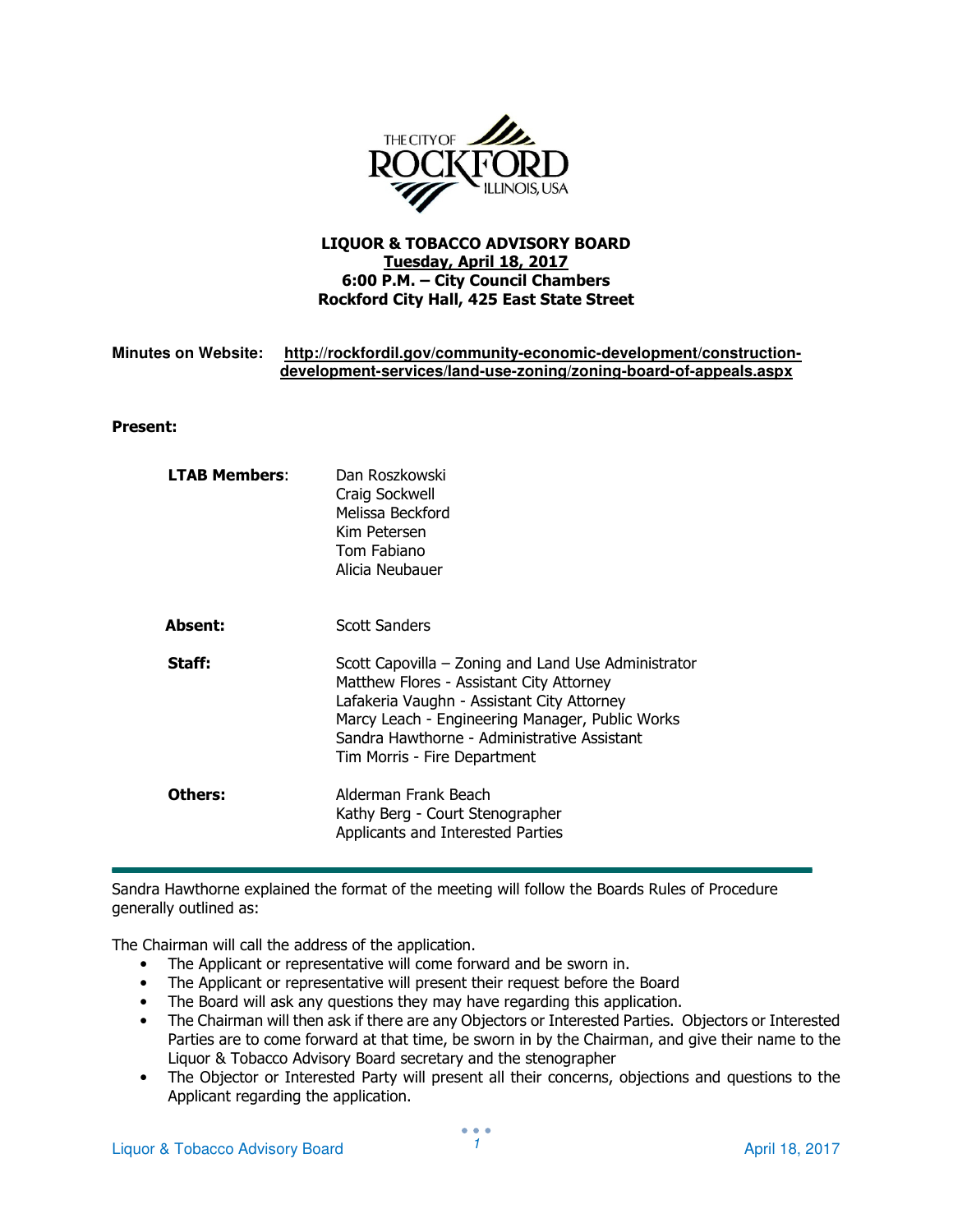

## LIQUOR & TOBACCO ADVISORY BOARD Tuesday, April 18, 2017 6:00 P.M. – City Council Chambers Rockford City Hall, 425 East State Street

## **Minutes on Website: http://rockfordil.gov/community-economic-development/constructiondevelopment-services/land-use-zoning/zoning-board-of-appeals.aspx**

### Present:

| <b>LTAB Members:</b> | Dan Roszkowski<br>Craig Sockwell<br>Melissa Beckford<br>Kim Petersen<br>Tom Fabiano<br>Alicia Neubauer                                                                                                                                                                          |
|----------------------|---------------------------------------------------------------------------------------------------------------------------------------------------------------------------------------------------------------------------------------------------------------------------------|
| <b>Absent:</b>       | <b>Scott Sanders</b>                                                                                                                                                                                                                                                            |
| Staff:               | Scott Capovilla – Zoning and Land Use Administrator<br>Matthew Flores - Assistant City Attorney<br>Lafakeria Vaughn - Assistant City Attorney<br>Marcy Leach - Engineering Manager, Public Works<br>Sandra Hawthorne - Administrative Assistant<br>Tim Morris - Fire Department |
| Others:              | Alderman Frank Beach<br>Kathy Berg - Court Stenographer<br>Applicants and Interested Parties                                                                                                                                                                                    |

Sandra Hawthorne explained the format of the meeting will follow the Boards Rules of Procedure generally outlined as:

The Chairman will call the address of the application.

- The Applicant or representative will come forward and be sworn in.
- The Applicant or representative will present their request before the Board
- The Board will ask any questions they may have regarding this application.
- The Chairman will then ask if there are any Objectors or Interested Parties. Objectors or Interested Parties are to come forward at that time, be sworn in by the Chairman, and give their name to the Liquor & Tobacco Advisory Board secretary and the stenographer
- The Objector or Interested Party will present all their concerns, objections and questions to the Applicant regarding the application.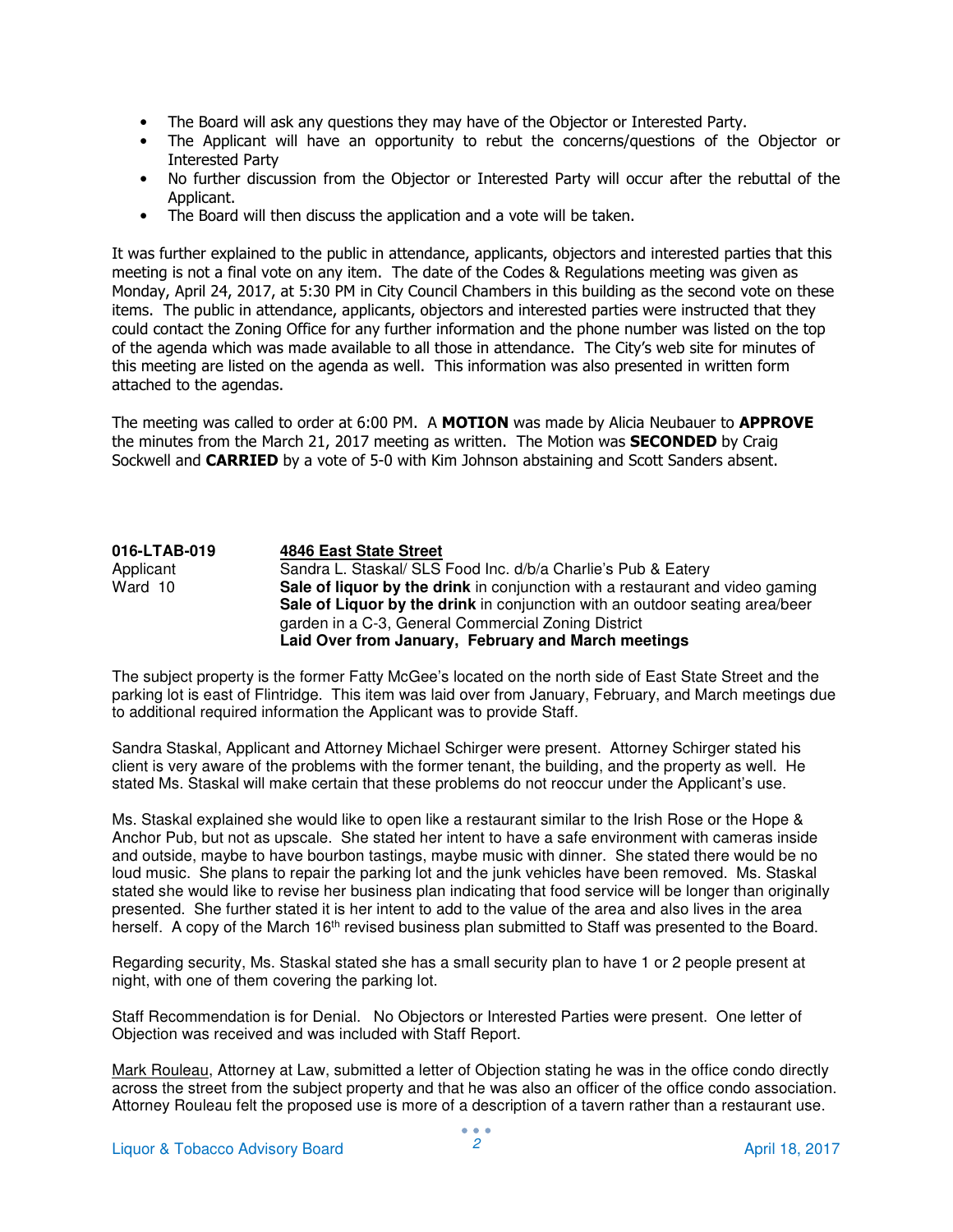- The Board will ask any questions they may have of the Objector or Interested Party.
- The Applicant will have an opportunity to rebut the concerns/questions of the Objector or Interested Party
- No further discussion from the Objector or Interested Party will occur after the rebuttal of the Applicant.
- The Board will then discuss the application and a vote will be taken.

It was further explained to the public in attendance, applicants, objectors and interested parties that this meeting is not a final vote on any item. The date of the Codes & Regulations meeting was given as Monday, April 24, 2017, at 5:30 PM in City Council Chambers in this building as the second vote on these items. The public in attendance, applicants, objectors and interested parties were instructed that they could contact the Zoning Office for any further information and the phone number was listed on the top of the agenda which was made available to all those in attendance. The City's web site for minutes of this meeting are listed on the agenda as well. This information was also presented in written form attached to the agendas.

The meeting was called to order at 6:00 PM. A MOTION was made by Alicia Neubauer to APPROVE the minutes from the March 21, 2017 meeting as written. The Motion was **SECONDED** by Craig Sockwell and **CARRIED** by a vote of 5-0 with Kim Johnson abstaining and Scott Sanders absent.

#### **016-LTAB-019** 4846 East State Street<br>
Applicant Sandra L. Staskal/ SLS Sandra L. Staskal/ SLS Food Inc. d/b/a Charlie's Pub & Eatery Ward 10 **Sale of liquor by the drink** in conjunction with a restaurant and video gaming **Sale of Liquor by the drink** in conjunction with an outdoor seating area/beer garden in a C-3, General Commercial Zoning District **Laid Over from January, February and March meetings**

The subject property is the former Fatty McGee's located on the north side of East State Street and the parking lot is east of Flintridge. This item was laid over from January, February, and March meetings due to additional required information the Applicant was to provide Staff.

Sandra Staskal, Applicant and Attorney Michael Schirger were present. Attorney Schirger stated his client is very aware of the problems with the former tenant, the building, and the property as well. He stated Ms. Staskal will make certain that these problems do not reoccur under the Applicant's use.

Ms. Staskal explained she would like to open like a restaurant similar to the Irish Rose or the Hope & Anchor Pub, but not as upscale. She stated her intent to have a safe environment with cameras inside and outside, maybe to have bourbon tastings, maybe music with dinner. She stated there would be no loud music. She plans to repair the parking lot and the junk vehicles have been removed. Ms. Staskal stated she would like to revise her business plan indicating that food service will be longer than originally presented. She further stated it is her intent to add to the value of the area and also lives in the area herself. A copy of the March 16<sup>th</sup> revised business plan submitted to Staff was presented to the Board.

Regarding security, Ms. Staskal stated she has a small security plan to have 1 or 2 people present at night, with one of them covering the parking lot.

Staff Recommendation is for Denial. No Objectors or Interested Parties were present. One letter of Objection was received and was included with Staff Report.

Mark Rouleau, Attorney at Law, submitted a letter of Objection stating he was in the office condo directly across the street from the subject property and that he was also an officer of the office condo association. Attorney Rouleau felt the proposed use is more of a description of a tavern rather than a restaurant use.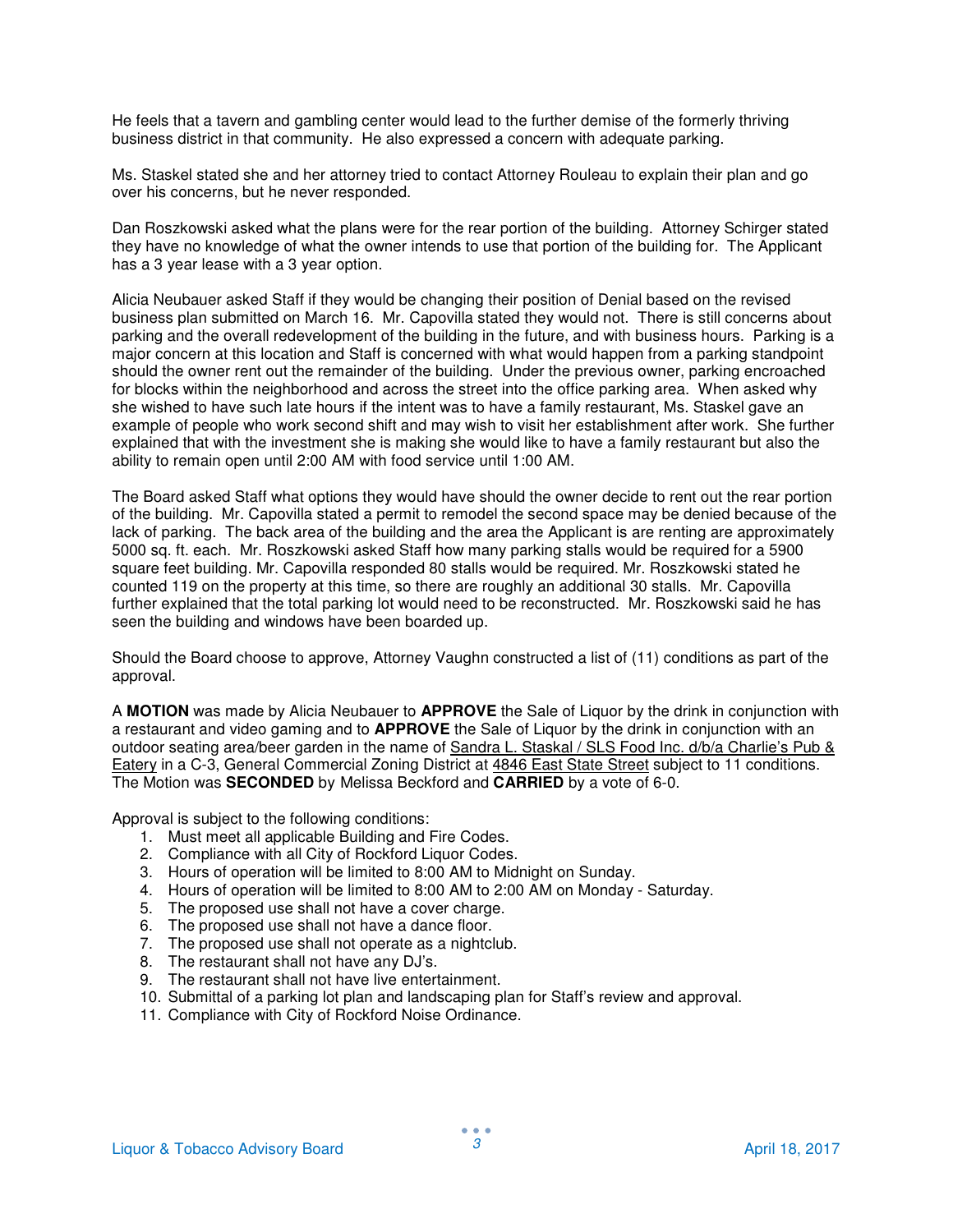He feels that a tavern and gambling center would lead to the further demise of the formerly thriving business district in that community. He also expressed a concern with adequate parking.

Ms. Staskel stated she and her attorney tried to contact Attorney Rouleau to explain their plan and go over his concerns, but he never responded.

Dan Roszkowski asked what the plans were for the rear portion of the building. Attorney Schirger stated they have no knowledge of what the owner intends to use that portion of the building for. The Applicant has a 3 year lease with a 3 year option.

Alicia Neubauer asked Staff if they would be changing their position of Denial based on the revised business plan submitted on March 16. Mr. Capovilla stated they would not. There is still concerns about parking and the overall redevelopment of the building in the future, and with business hours. Parking is a major concern at this location and Staff is concerned with what would happen from a parking standpoint should the owner rent out the remainder of the building. Under the previous owner, parking encroached for blocks within the neighborhood and across the street into the office parking area. When asked why she wished to have such late hours if the intent was to have a family restaurant, Ms. Staskel gave an example of people who work second shift and may wish to visit her establishment after work. She further explained that with the investment she is making she would like to have a family restaurant but also the ability to remain open until 2:00 AM with food service until 1:00 AM.

The Board asked Staff what options they would have should the owner decide to rent out the rear portion of the building. Mr. Capovilla stated a permit to remodel the second space may be denied because of the lack of parking. The back area of the building and the area the Applicant is are renting are approximately 5000 sq. ft. each. Mr. Roszkowski asked Staff how many parking stalls would be required for a 5900 square feet building. Mr. Capovilla responded 80 stalls would be required. Mr. Roszkowski stated he counted 119 on the property at this time, so there are roughly an additional 30 stalls. Mr. Capovilla further explained that the total parking lot would need to be reconstructed. Mr. Roszkowski said he has seen the building and windows have been boarded up.

Should the Board choose to approve, Attorney Vaughn constructed a list of (11) conditions as part of the approval.

A **MOTION** was made by Alicia Neubauer to **APPROVE** the Sale of Liquor by the drink in conjunction with a restaurant and video gaming and to **APPROVE** the Sale of Liquor by the drink in conjunction with an outdoor seating area/beer garden in the name of Sandra L. Staskal / SLS Food Inc. d/b/a Charlie's Pub & Eatery in a C-3, General Commercial Zoning District at 4846 East State Street subject to 11 conditions. The Motion was **SECONDED** by Melissa Beckford and **CARRIED** by a vote of 6-0.

- 1. Must meet all applicable Building and Fire Codes.
- 2. Compliance with all City of Rockford Liquor Codes.
- 3. Hours of operation will be limited to 8:00 AM to Midnight on Sunday.
- 4. Hours of operation will be limited to 8:00 AM to 2:00 AM on Monday Saturday.
- 5. The proposed use shall not have a cover charge.
- 6. The proposed use shall not have a dance floor.
- 7. The proposed use shall not operate as a nightclub.
- 8. The restaurant shall not have any DJ's.
- 9. The restaurant shall not have live entertainment.
- 10. Submittal of a parking lot plan and landscaping plan for Staff's review and approval.
- 11. Compliance with City of Rockford Noise Ordinance.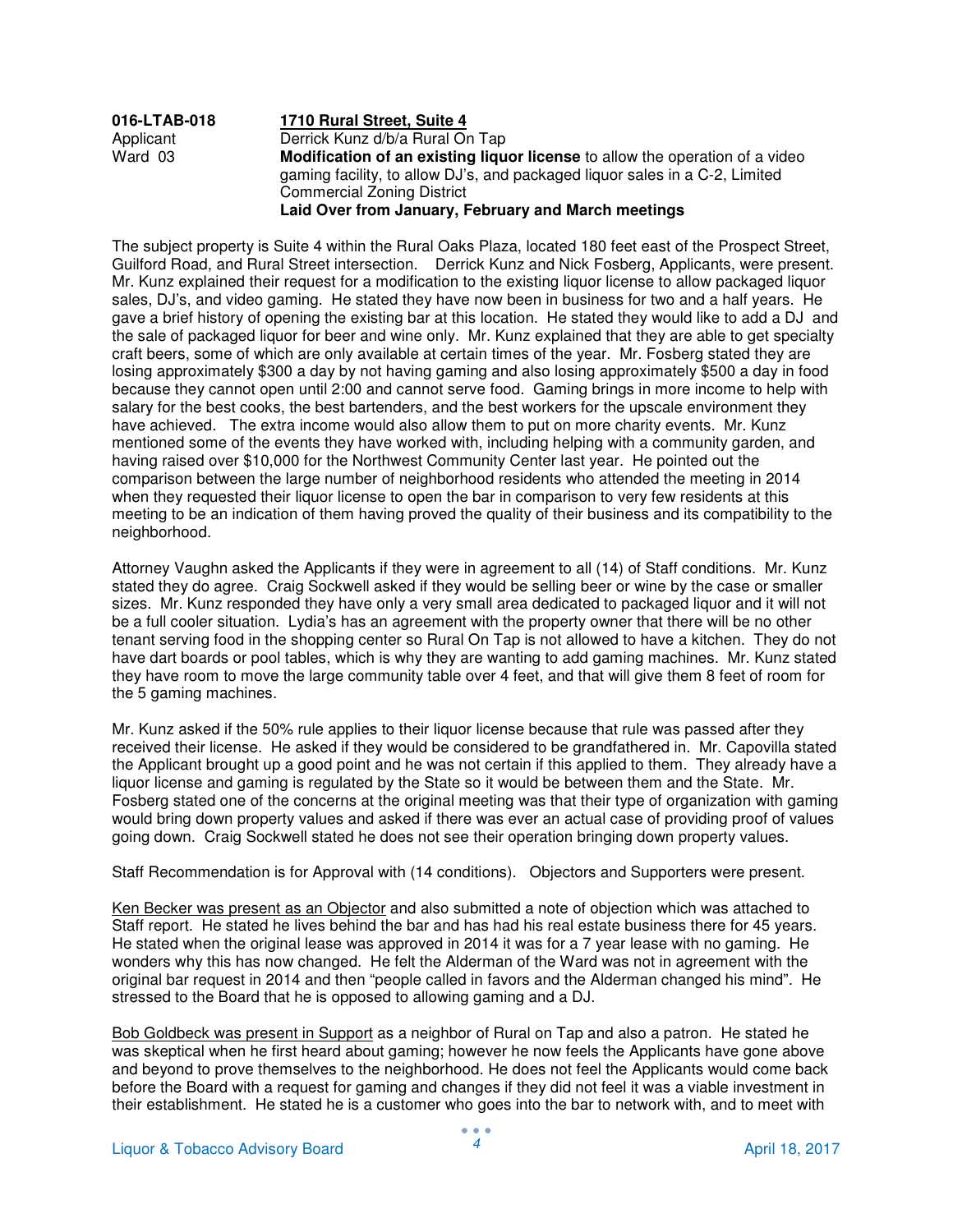| 016-LTAB-018 | 1710 Rural Street, Suite 4                                                                                                                                                                       |
|--------------|--------------------------------------------------------------------------------------------------------------------------------------------------------------------------------------------------|
| Applicant    | Derrick Kunz d/b/a Rural On Tap                                                                                                                                                                  |
| Ward 03      | Modification of an existing liquor license to allow the operation of a video<br>gaming facility, to allow DJ's, and packaged liquor sales in a C-2, Limited<br><b>Commercial Zoning District</b> |
|              | Laid Over from January, February and March meetings                                                                                                                                              |

The subject property is Suite 4 within the Rural Oaks Plaza, located 180 feet east of the Prospect Street, Guilford Road, and Rural Street intersection. Derrick Kunz and Nick Fosberg, Applicants, were present. Mr. Kunz explained their request for a modification to the existing liquor license to allow packaged liquor sales, DJ's, and video gaming. He stated they have now been in business for two and a half years. He gave a brief history of opening the existing bar at this location. He stated they would like to add a DJ and the sale of packaged liquor for beer and wine only. Mr. Kunz explained that they are able to get specialty craft beers, some of which are only available at certain times of the year. Mr. Fosberg stated they are losing approximately \$300 a day by not having gaming and also losing approximately \$500 a day in food because they cannot open until 2:00 and cannot serve food. Gaming brings in more income to help with salary for the best cooks, the best bartenders, and the best workers for the upscale environment they have achieved. The extra income would also allow them to put on more charity events. Mr. Kunz mentioned some of the events they have worked with, including helping with a community garden, and having raised over \$10,000 for the Northwest Community Center last year. He pointed out the comparison between the large number of neighborhood residents who attended the meeting in 2014 when they requested their liquor license to open the bar in comparison to very few residents at this meeting to be an indication of them having proved the quality of their business and its compatibility to the neighborhood.

Attorney Vaughn asked the Applicants if they were in agreement to all (14) of Staff conditions. Mr. Kunz stated they do agree. Craig Sockwell asked if they would be selling beer or wine by the case or smaller sizes. Mr. Kunz responded they have only a very small area dedicated to packaged liquor and it will not be a full cooler situation. Lydia's has an agreement with the property owner that there will be no other tenant serving food in the shopping center so Rural On Tap is not allowed to have a kitchen. They do not have dart boards or pool tables, which is why they are wanting to add gaming machines. Mr. Kunz stated they have room to move the large community table over 4 feet, and that will give them 8 feet of room for the 5 gaming machines.

Mr. Kunz asked if the 50% rule applies to their liquor license because that rule was passed after they received their license. He asked if they would be considered to be grandfathered in. Mr. Capovilla stated the Applicant brought up a good point and he was not certain if this applied to them. They already have a liquor license and gaming is regulated by the State so it would be between them and the State. Mr. Fosberg stated one of the concerns at the original meeting was that their type of organization with gaming would bring down property values and asked if there was ever an actual case of providing proof of values going down. Craig Sockwell stated he does not see their operation bringing down property values.

Staff Recommendation is for Approval with (14 conditions). Objectors and Supporters were present.

Ken Becker was present as an Objector and also submitted a note of objection which was attached to Staff report. He stated he lives behind the bar and has had his real estate business there for 45 years. He stated when the original lease was approved in 2014 it was for a 7 year lease with no gaming. He wonders why this has now changed. He felt the Alderman of the Ward was not in agreement with the original bar request in 2014 and then "people called in favors and the Alderman changed his mind". He stressed to the Board that he is opposed to allowing gaming and a DJ.

Bob Goldbeck was present in Support as a neighbor of Rural on Tap and also a patron. He stated he was skeptical when he first heard about gaming; however he now feels the Applicants have gone above and beyond to prove themselves to the neighborhood. He does not feel the Applicants would come back before the Board with a request for gaming and changes if they did not feel it was a viable investment in their establishment. He stated he is a customer who goes into the bar to network with, and to meet with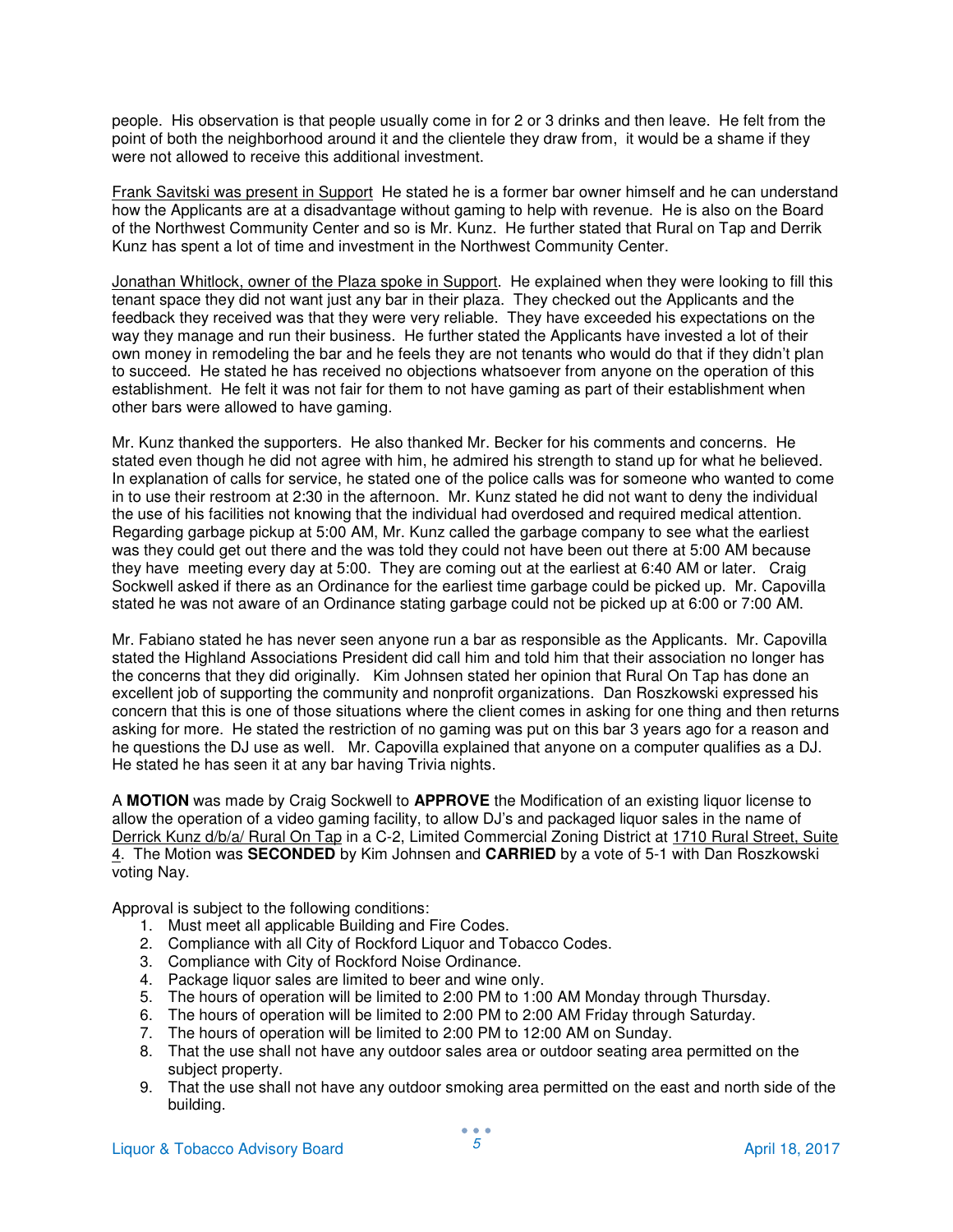people. His observation is that people usually come in for 2 or 3 drinks and then leave. He felt from the point of both the neighborhood around it and the clientele they draw from, it would be a shame if they were not allowed to receive this additional investment.

Frank Savitski was present in Support He stated he is a former bar owner himself and he can understand how the Applicants are at a disadvantage without gaming to help with revenue. He is also on the Board of the Northwest Community Center and so is Mr. Kunz. He further stated that Rural on Tap and Derrik Kunz has spent a lot of time and investment in the Northwest Community Center.

Jonathan Whitlock, owner of the Plaza spoke in Support. He explained when they were looking to fill this tenant space they did not want just any bar in their plaza. They checked out the Applicants and the feedback they received was that they were very reliable. They have exceeded his expectations on the way they manage and run their business. He further stated the Applicants have invested a lot of their own money in remodeling the bar and he feels they are not tenants who would do that if they didn't plan to succeed. He stated he has received no objections whatsoever from anyone on the operation of this establishment. He felt it was not fair for them to not have gaming as part of their establishment when other bars were allowed to have gaming.

Mr. Kunz thanked the supporters. He also thanked Mr. Becker for his comments and concerns. He stated even though he did not agree with him, he admired his strength to stand up for what he believed. In explanation of calls for service, he stated one of the police calls was for someone who wanted to come in to use their restroom at 2:30 in the afternoon. Mr. Kunz stated he did not want to deny the individual the use of his facilities not knowing that the individual had overdosed and required medical attention. Regarding garbage pickup at 5:00 AM, Mr. Kunz called the garbage company to see what the earliest was they could get out there and the was told they could not have been out there at 5:00 AM because they have meeting every day at 5:00. They are coming out at the earliest at 6:40 AM or later. Craig Sockwell asked if there as an Ordinance for the earliest time garbage could be picked up. Mr. Capovilla stated he was not aware of an Ordinance stating garbage could not be picked up at 6:00 or 7:00 AM.

Mr. Fabiano stated he has never seen anyone run a bar as responsible as the Applicants. Mr. Capovilla stated the Highland Associations President did call him and told him that their association no longer has the concerns that they did originally. Kim Johnsen stated her opinion that Rural On Tap has done an excellent job of supporting the community and nonprofit organizations. Dan Roszkowski expressed his concern that this is one of those situations where the client comes in asking for one thing and then returns asking for more. He stated the restriction of no gaming was put on this bar 3 years ago for a reason and he questions the DJ use as well. Mr. Capovilla explained that anyone on a computer qualifies as a DJ. He stated he has seen it at any bar having Trivia nights.

A **MOTION** was made by Craig Sockwell to **APPROVE** the Modification of an existing liquor license to allow the operation of a video gaming facility, to allow DJ's and packaged liquor sales in the name of Derrick Kunz d/b/a/ Rural On Tap in a C-2, Limited Commercial Zoning District at 1710 Rural Street, Suite 4. The Motion was **SECONDED** by Kim Johnsen and **CARRIED** by a vote of 5-1 with Dan Roszkowski voting Nay.

- 1. Must meet all applicable Building and Fire Codes.
- 2. Compliance with all City of Rockford Liquor and Tobacco Codes.
- 3. Compliance with City of Rockford Noise Ordinance.
- 4. Package liquor sales are limited to beer and wine only.
- 5. The hours of operation will be limited to 2:00 PM to 1:00 AM Monday through Thursday.
- 6. The hours of operation will be limited to 2:00 PM to 2:00 AM Friday through Saturday.
- 7. The hours of operation will be limited to 2:00 PM to 12:00 AM on Sunday.
- 8. That the use shall not have any outdoor sales area or outdoor seating area permitted on the subject property.
- 9. That the use shall not have any outdoor smoking area permitted on the east and north side of the building.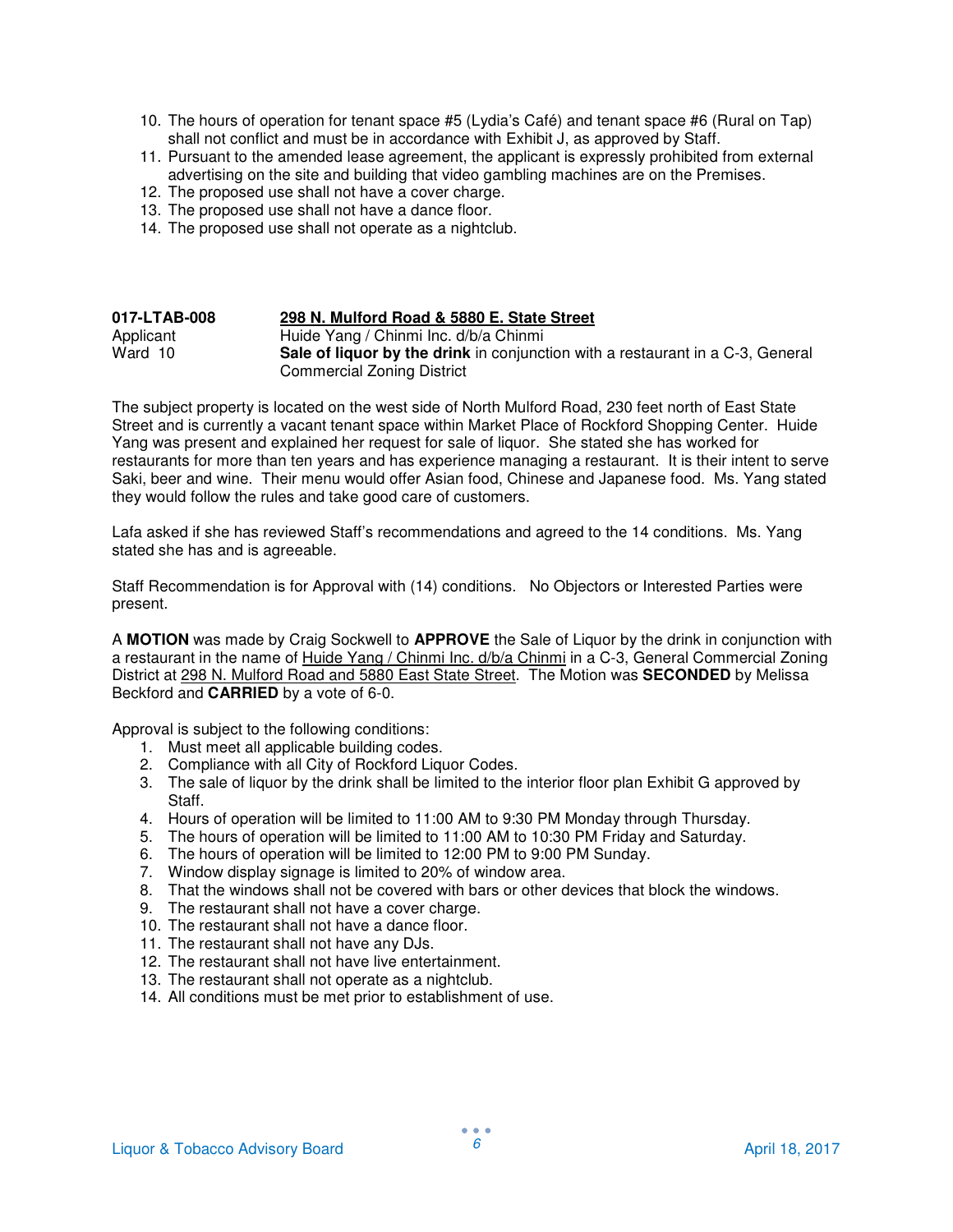- 10. The hours of operation for tenant space #5 (Lydia's Café) and tenant space #6 (Rural on Tap) shall not conflict and must be in accordance with Exhibit J, as approved by Staff.
- 11. Pursuant to the amended lease agreement, the applicant is expressly prohibited from external advertising on the site and building that video gambling machines are on the Premises.
- 12. The proposed use shall not have a cover charge.
- 13. The proposed use shall not have a dance floor.
- 14. The proposed use shall not operate as a nightclub.

# **017-LTAB-008 298 N. Mulford Road & 5880 E. State Street**

Applicant Huide Yang / Chinmi Inc. d/b/a Chinmi<br>Ward 10 **Sale of liquor by the drink** in conjunct Sale of liquor by the drink in conjunction with a restaurant in a C-3, General Commercial Zoning District

The subject property is located on the west side of North Mulford Road, 230 feet north of East State Street and is currently a vacant tenant space within Market Place of Rockford Shopping Center. Huide Yang was present and explained her request for sale of liquor. She stated she has worked for restaurants for more than ten years and has experience managing a restaurant. It is their intent to serve Saki, beer and wine. Their menu would offer Asian food, Chinese and Japanese food. Ms. Yang stated they would follow the rules and take good care of customers.

Lafa asked if she has reviewed Staff's recommendations and agreed to the 14 conditions. Ms. Yang stated she has and is agreeable.

Staff Recommendation is for Approval with (14) conditions. No Objectors or Interested Parties were present.

A **MOTION** was made by Craig Sockwell to **APPROVE** the Sale of Liquor by the drink in conjunction with a restaurant in the name of Huide Yang / Chinmi Inc. d/b/a Chinmi in a C-3, General Commercial Zoning District at 298 N. Mulford Road and 5880 East State Street. The Motion was **SECONDED** by Melissa Beckford and **CARRIED** by a vote of 6-0.

- 1. Must meet all applicable building codes.
- 2. Compliance with all City of Rockford Liquor Codes.
- 3. The sale of liquor by the drink shall be limited to the interior floor plan Exhibit G approved by Staff.
- 4. Hours of operation will be limited to 11:00 AM to 9:30 PM Monday through Thursday.
- 5. The hours of operation will be limited to 11:00 AM to 10:30 PM Friday and Saturday.
- 6. The hours of operation will be limited to 12:00 PM to 9:00 PM Sunday.
- 7. Window display signage is limited to 20% of window area.
- 8. That the windows shall not be covered with bars or other devices that block the windows.
- 9. The restaurant shall not have a cover charge.
- 10. The restaurant shall not have a dance floor.
- 11. The restaurant shall not have any DJs.
- 12. The restaurant shall not have live entertainment.
- 13. The restaurant shall not operate as a nightclub.
- 14. All conditions must be met prior to establishment of use.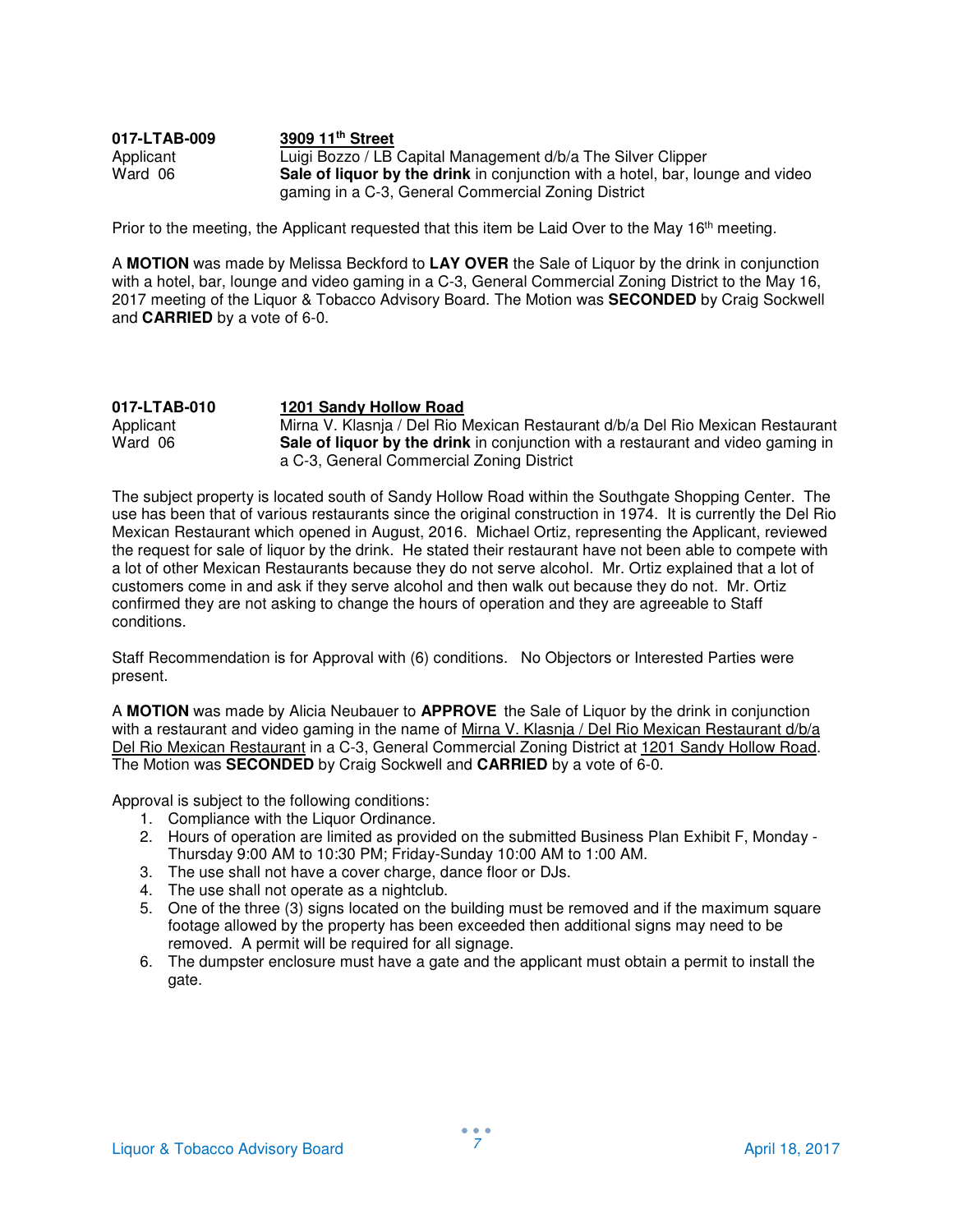| 017-LTAB-009 | 3909 11 <sup>th</sup> Street                                                          |
|--------------|---------------------------------------------------------------------------------------|
| Applicant    | Luigi Bozzo / LB Capital Management d/b/a The Silver Clipper                          |
| Ward 06      | <b>Sale of liquor by the drink</b> in conjunction with a hotel, bar, lounge and video |
|              | gaming in a C-3, General Commercial Zoning District                                   |

Prior to the meeting, the Applicant requested that this item be Laid Over to the May 16<sup>th</sup> meeting.

A **MOTION** was made by Melissa Beckford to **LAY OVER** the Sale of Liquor by the drink in conjunction with a hotel, bar, lounge and video gaming in a C-3, General Commercial Zoning District to the May 16, 2017 meeting of the Liquor & Tobacco Advisory Board. The Motion was **SECONDED** by Craig Sockwell and **CARRIED** by a vote of 6-0.

| 017-LTAB-010 | 1201 Sandy Hollow Road                                                           |
|--------------|----------------------------------------------------------------------------------|
| Applicant    | Mirna V. Klasnja / Del Rio Mexican Restaurant d/b/a Del Rio Mexican Restaurant   |
| Ward 06      | Sale of liquor by the drink in conjunction with a restaurant and video gaming in |
|              | a C-3, General Commercial Zoning District                                        |

The subject property is located south of Sandy Hollow Road within the Southgate Shopping Center. The use has been that of various restaurants since the original construction in 1974. It is currently the Del Rio Mexican Restaurant which opened in August, 2016. Michael Ortiz, representing the Applicant, reviewed the request for sale of liquor by the drink. He stated their restaurant have not been able to compete with a lot of other Mexican Restaurants because they do not serve alcohol. Mr. Ortiz explained that a lot of customers come in and ask if they serve alcohol and then walk out because they do not. Mr. Ortiz confirmed they are not asking to change the hours of operation and they are agreeable to Staff conditions.

Staff Recommendation is for Approval with (6) conditions. No Objectors or Interested Parties were present.

A **MOTION** was made by Alicia Neubauer to **APPROVE** the Sale of Liquor by the drink in conjunction with a restaurant and video gaming in the name of Mirna V. Klasnja / Del Rio Mexican Restaurant d/b/a Del Rio Mexican Restaurant in a C-3, General Commercial Zoning District at 1201 Sandy Hollow Road. The Motion was **SECONDED** by Craig Sockwell and **CARRIED** by a vote of 6-0.

- 1. Compliance with the Liquor Ordinance.
- 2. Hours of operation are limited as provided on the submitted Business Plan Exhibit F, Monday Thursday 9:00 AM to 10:30 PM; Friday-Sunday 10:00 AM to 1:00 AM.
- 3. The use shall not have a cover charge, dance floor or DJs.
- 4. The use shall not operate as a nightclub.
- 5. One of the three (3) signs located on the building must be removed and if the maximum square footage allowed by the property has been exceeded then additional signs may need to be removed. A permit will be required for all signage.
- 6. The dumpster enclosure must have a gate and the applicant must obtain a permit to install the gate.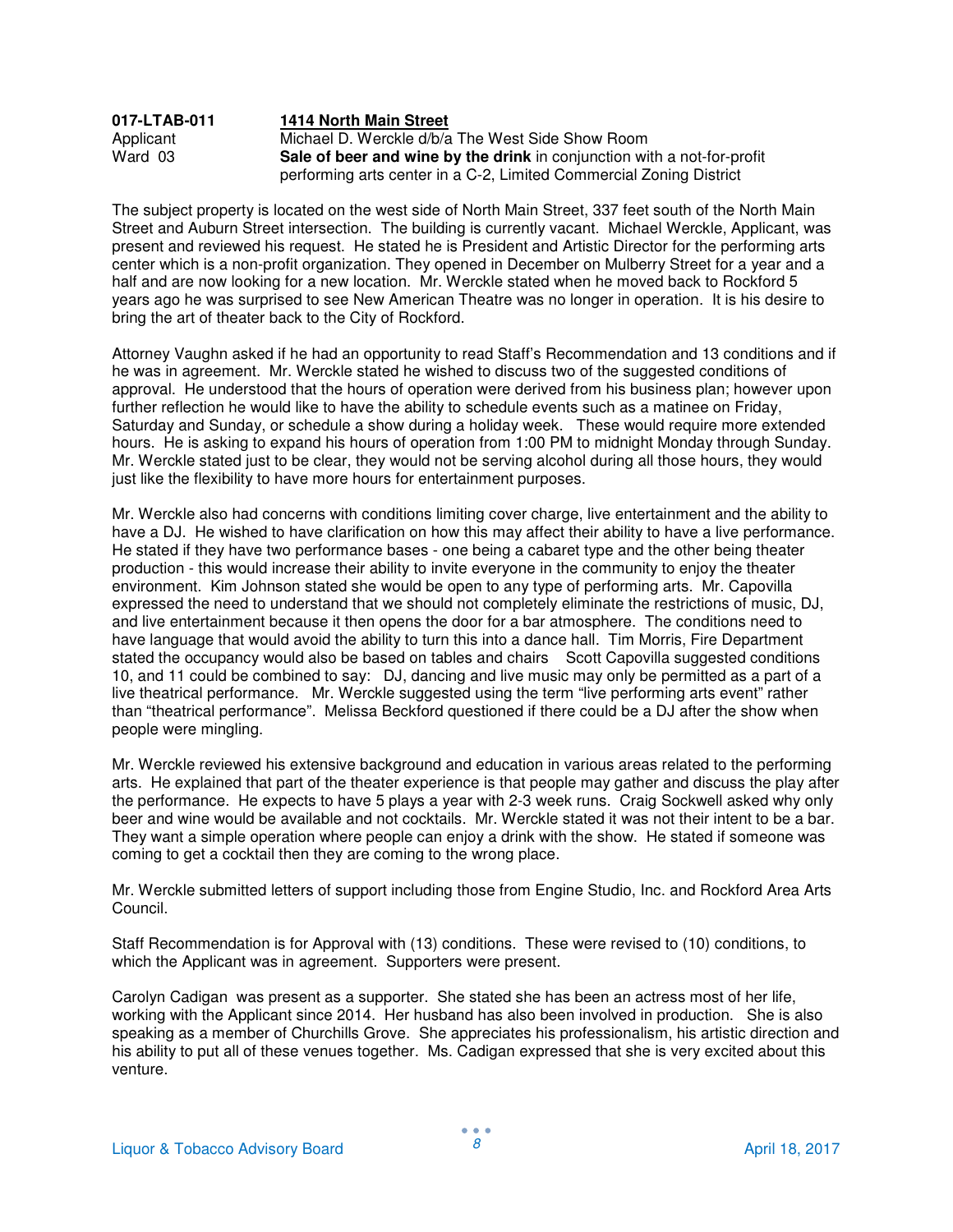#### **017-LTAB-011 1414 North Main Street** Applicant Michael D. Werckle d/b/a The West Side Show Room<br>Ward 03 **Sale of beer and wine by the drink** in conjunction wit **Sale of beer and wine by the drink** in conjunction with a not-for-profit performing arts center in a C-2, Limited Commercial Zoning District

The subject property is located on the west side of North Main Street, 337 feet south of the North Main Street and Auburn Street intersection. The building is currently vacant. Michael Werckle, Applicant, was present and reviewed his request. He stated he is President and Artistic Director for the performing arts center which is a non-profit organization. They opened in December on Mulberry Street for a year and a half and are now looking for a new location. Mr. Werckle stated when he moved back to Rockford 5 years ago he was surprised to see New American Theatre was no longer in operation. It is his desire to bring the art of theater back to the City of Rockford.

Attorney Vaughn asked if he had an opportunity to read Staff's Recommendation and 13 conditions and if he was in agreement. Mr. Werckle stated he wished to discuss two of the suggested conditions of approval. He understood that the hours of operation were derived from his business plan; however upon further reflection he would like to have the ability to schedule events such as a matinee on Friday, Saturday and Sunday, or schedule a show during a holiday week. These would require more extended hours. He is asking to expand his hours of operation from 1:00 PM to midnight Monday through Sunday. Mr. Werckle stated just to be clear, they would not be serving alcohol during all those hours, they would just like the flexibility to have more hours for entertainment purposes.

Mr. Werckle also had concerns with conditions limiting cover charge, live entertainment and the ability to have a DJ. He wished to have clarification on how this may affect their ability to have a live performance. He stated if they have two performance bases - one being a cabaret type and the other being theater production - this would increase their ability to invite everyone in the community to enjoy the theater environment. Kim Johnson stated she would be open to any type of performing arts. Mr. Capovilla expressed the need to understand that we should not completely eliminate the restrictions of music, DJ, and live entertainment because it then opens the door for a bar atmosphere. The conditions need to have language that would avoid the ability to turn this into a dance hall. Tim Morris, Fire Department stated the occupancy would also be based on tables and chairs Scott Capovilla suggested conditions 10, and 11 could be combined to say: DJ, dancing and live music may only be permitted as a part of a live theatrical performance. Mr. Werckle suggested using the term "live performing arts event" rather than "theatrical performance". Melissa Beckford questioned if there could be a DJ after the show when people were mingling.

Mr. Werckle reviewed his extensive background and education in various areas related to the performing arts. He explained that part of the theater experience is that people may gather and discuss the play after the performance. He expects to have 5 plays a year with 2-3 week runs. Craig Sockwell asked why only beer and wine would be available and not cocktails. Mr. Werckle stated it was not their intent to be a bar. They want a simple operation where people can enjoy a drink with the show. He stated if someone was coming to get a cocktail then they are coming to the wrong place.

Mr. Werckle submitted letters of support including those from Engine Studio, Inc. and Rockford Area Arts Council.

Staff Recommendation is for Approval with (13) conditions. These were revised to (10) conditions, to which the Applicant was in agreement. Supporters were present.

Carolyn Cadigan was present as a supporter. She stated she has been an actress most of her life, working with the Applicant since 2014. Her husband has also been involved in production. She is also speaking as a member of Churchills Grove. She appreciates his professionalism, his artistic direction and his ability to put all of these venues together. Ms. Cadigan expressed that she is very excited about this venture.